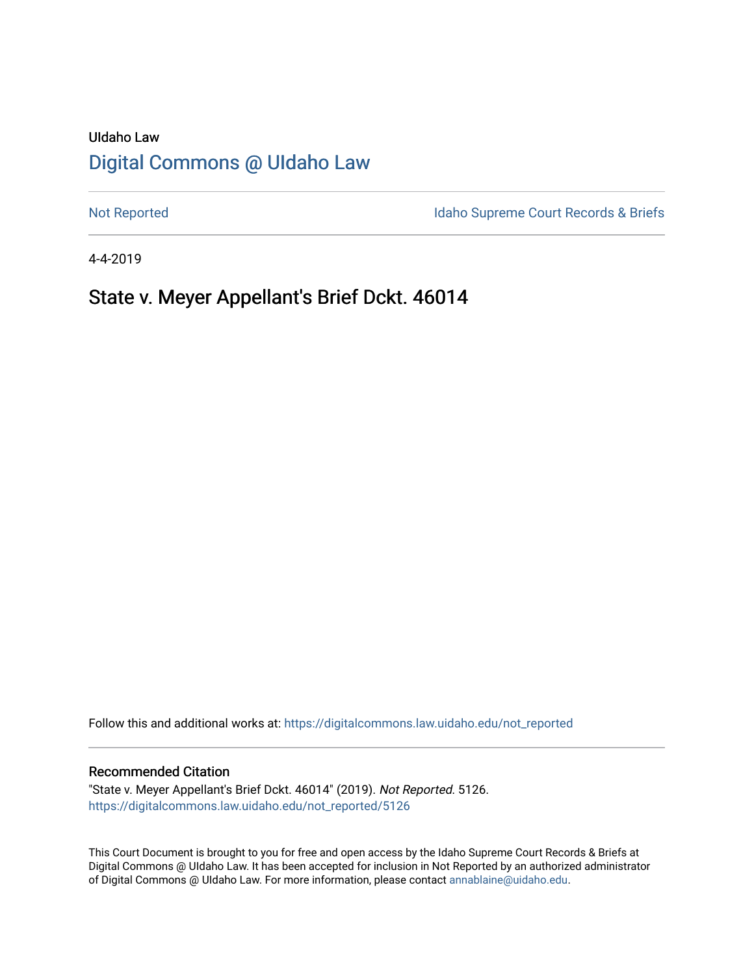# UIdaho Law [Digital Commons @ UIdaho Law](https://digitalcommons.law.uidaho.edu/)

[Not Reported](https://digitalcommons.law.uidaho.edu/not_reported) **Idaho Supreme Court Records & Briefs** 

4-4-2019

# State v. Meyer Appellant's Brief Dckt. 46014

Follow this and additional works at: [https://digitalcommons.law.uidaho.edu/not\\_reported](https://digitalcommons.law.uidaho.edu/not_reported?utm_source=digitalcommons.law.uidaho.edu%2Fnot_reported%2F5126&utm_medium=PDF&utm_campaign=PDFCoverPages) 

#### Recommended Citation

"State v. Meyer Appellant's Brief Dckt. 46014" (2019). Not Reported. 5126. [https://digitalcommons.law.uidaho.edu/not\\_reported/5126](https://digitalcommons.law.uidaho.edu/not_reported/5126?utm_source=digitalcommons.law.uidaho.edu%2Fnot_reported%2F5126&utm_medium=PDF&utm_campaign=PDFCoverPages)

This Court Document is brought to you for free and open access by the Idaho Supreme Court Records & Briefs at Digital Commons @ UIdaho Law. It has been accepted for inclusion in Not Reported by an authorized administrator of Digital Commons @ UIdaho Law. For more information, please contact [annablaine@uidaho.edu](mailto:annablaine@uidaho.edu).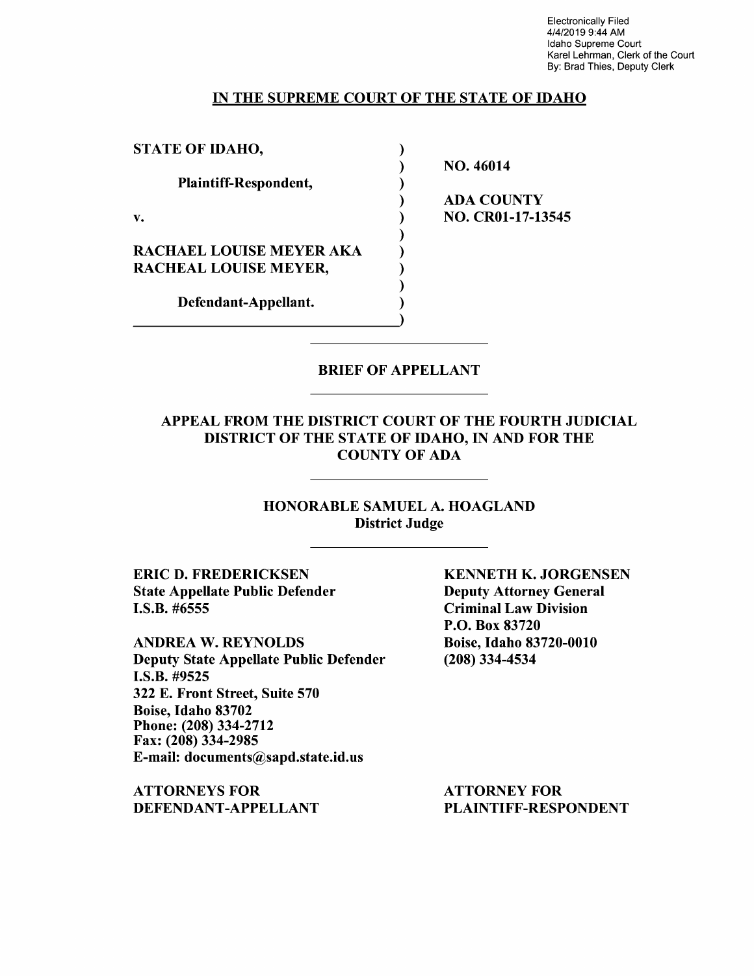Electronically Filed 4/4/2019 9:44 AM Idaho Supreme Court Karel Lehrman, Clerk of the Court By: Brad Thies, Deputy Clerk

#### IN THE SUPREME COURT OF THE STATE OF IDAHO

| <b>STATE OF IDAHO,</b>          |  |
|---------------------------------|--|
|                                 |  |
| Plaintiff-Respondent,           |  |
|                                 |  |
| v.                              |  |
|                                 |  |
| <b>RACHAEL LOUISE MEYER AKA</b> |  |
| <b>RACHEAL LOUISE MEYER,</b>    |  |
|                                 |  |
| Defendant-Appellant.            |  |
|                                 |  |

NO. 46014

ADA COUNTY NO. CR0l-17-13545

### BRIEF OF APPELLANT

## APPEAL FROM THE DISTRICT COURT OF THE FOURTH JUDICIAL DISTRICT OF THE STATE OF IDAHO, IN AND FOR THE COUNTY OF ADA

## HONORABLE SAMUEL A. HOAGLAND District Judge

**ERIC D. FREDERICKSEN**  State Appellate Public Defender I.S.B. #6555

**ANDREA W. REYNOLDS**  Deputy State Appellate Public Defender **I.S.B.** #9525 322 E. Front Street, Suite 570 Boise, Idaho 83702 Phone: (208) 334-2712 Fax: (208) 334-2985 E-mail: documents@sapd.state.id.us

**ATTORNEYS FOR DEFENDANT-APPELLANT**  **KENNETH K. JORGENSEN**  Deputy Attorney General Criminal Law Division P.O. Box 83720 Boise, Idaho 83720-0010 (208) 334-4534

ATTORNEY FOR PLAINTIFF-RESPONDENT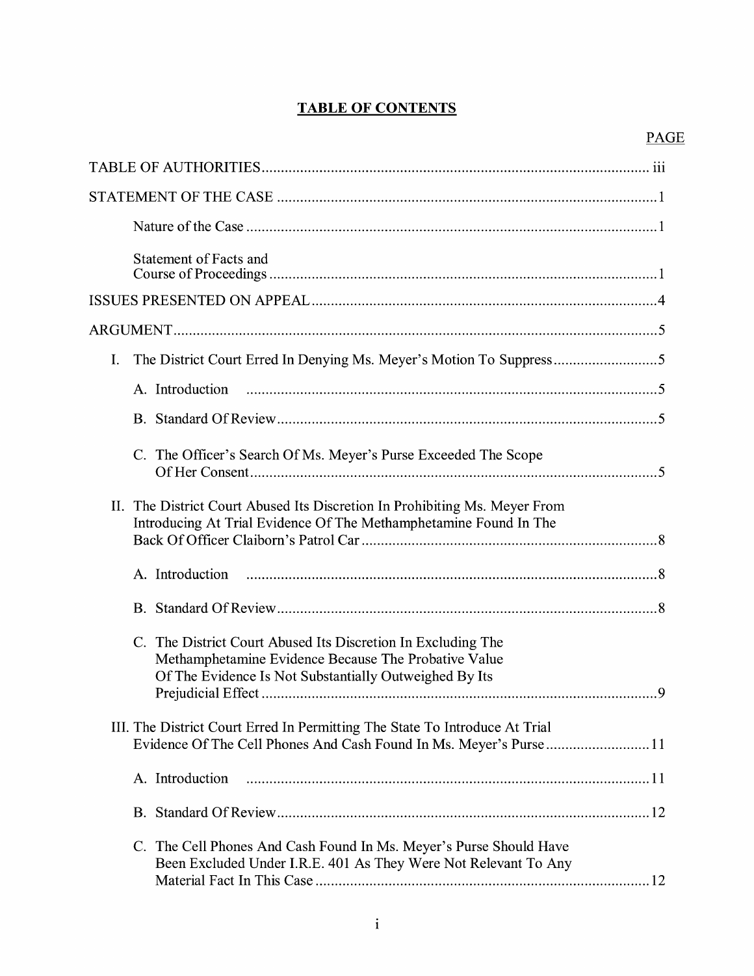## **TABLE OF CONTENTS**

| Statement of Facts and                                                                                                                                                                     |
|--------------------------------------------------------------------------------------------------------------------------------------------------------------------------------------------|
|                                                                                                                                                                                            |
|                                                                                                                                                                                            |
| The District Court Erred In Denying Ms. Meyer's Motion To Suppress5<br>I.                                                                                                                  |
| A. Introduction                                                                                                                                                                            |
|                                                                                                                                                                                            |
| C. The Officer's Search Of Ms. Meyer's Purse Exceeded The Scope                                                                                                                            |
| The District Court Abused Its Discretion In Prohibiting Ms. Meyer From<br>II.<br>Introducing At Trial Evidence Of The Methamphetamine Found In The                                         |
|                                                                                                                                                                                            |
|                                                                                                                                                                                            |
| The District Court Abused Its Discretion In Excluding The<br>$C_{\cdot}$<br>Methamphetamine Evidence Because The Probative Value<br>Of The Evidence Is Not Substantially Outweighed By Its |
| III. The District Court Erred In Permitting The State To Introduce At Trial                                                                                                                |
| A. Introduction                                                                                                                                                                            |
|                                                                                                                                                                                            |
| The Cell Phones And Cash Found In Ms. Meyer's Purse Should Have<br>$C_{\cdot}$<br>Been Excluded Under I.R.E. 401 As They Were Not Relevant To Any                                          |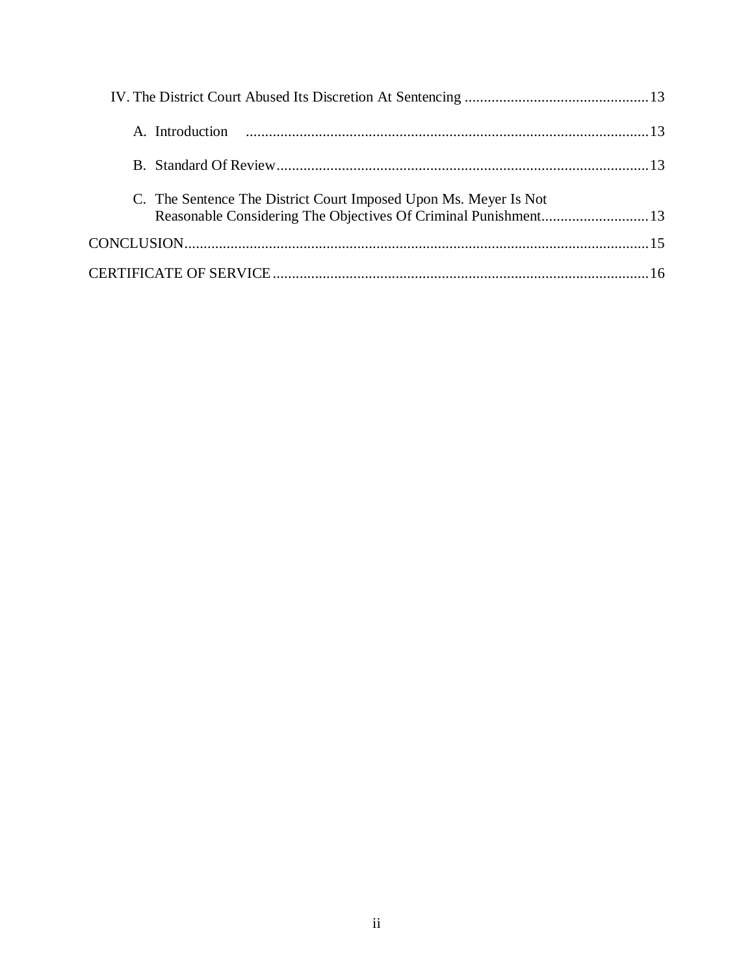| C. The Sentence The District Court Imposed Upon Ms. Meyer Is Not |  |
|------------------------------------------------------------------|--|
|                                                                  |  |
|                                                                  |  |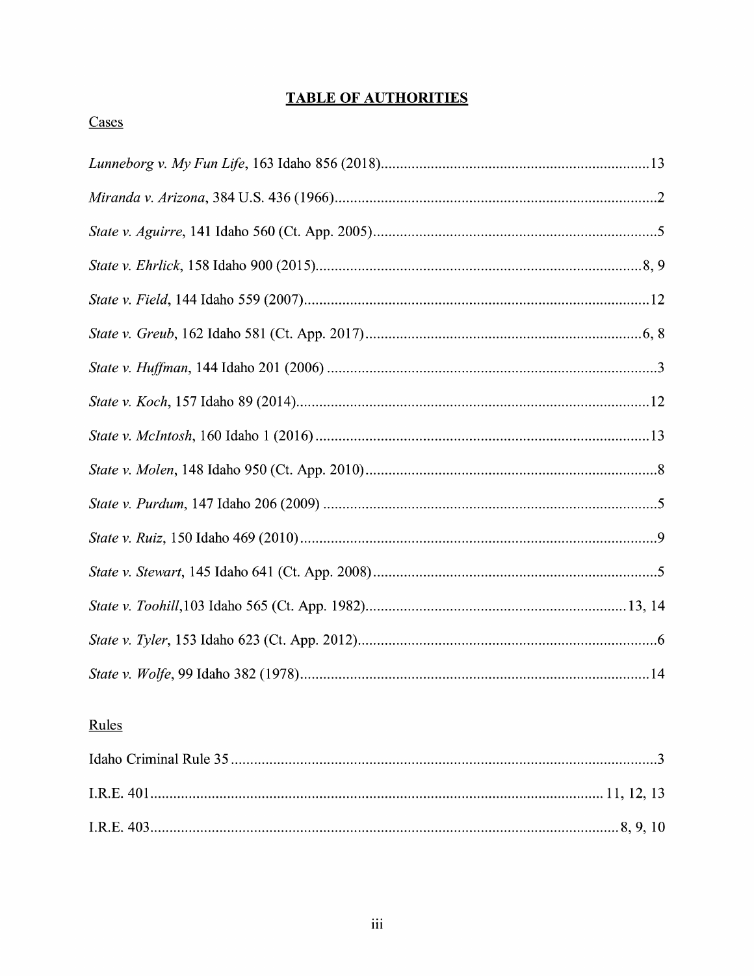## **TABLE OF AUTHORITIES**

# Cases

## Rules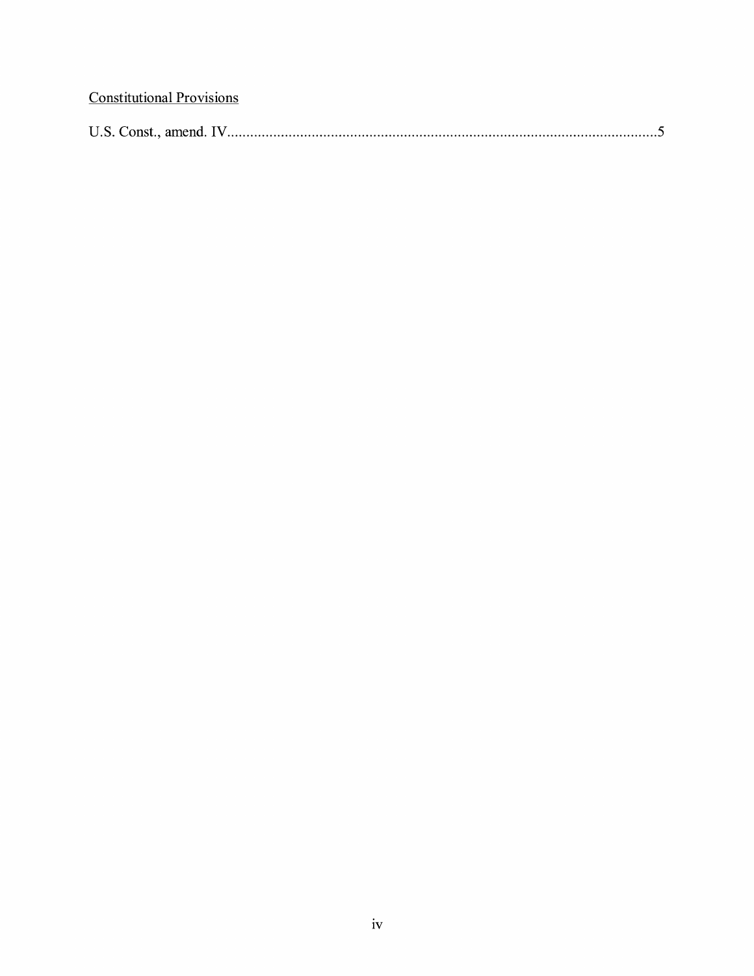# **Constitutional Provisions**

| U.S. Const<br>amena. |  |
|----------------------|--|
|----------------------|--|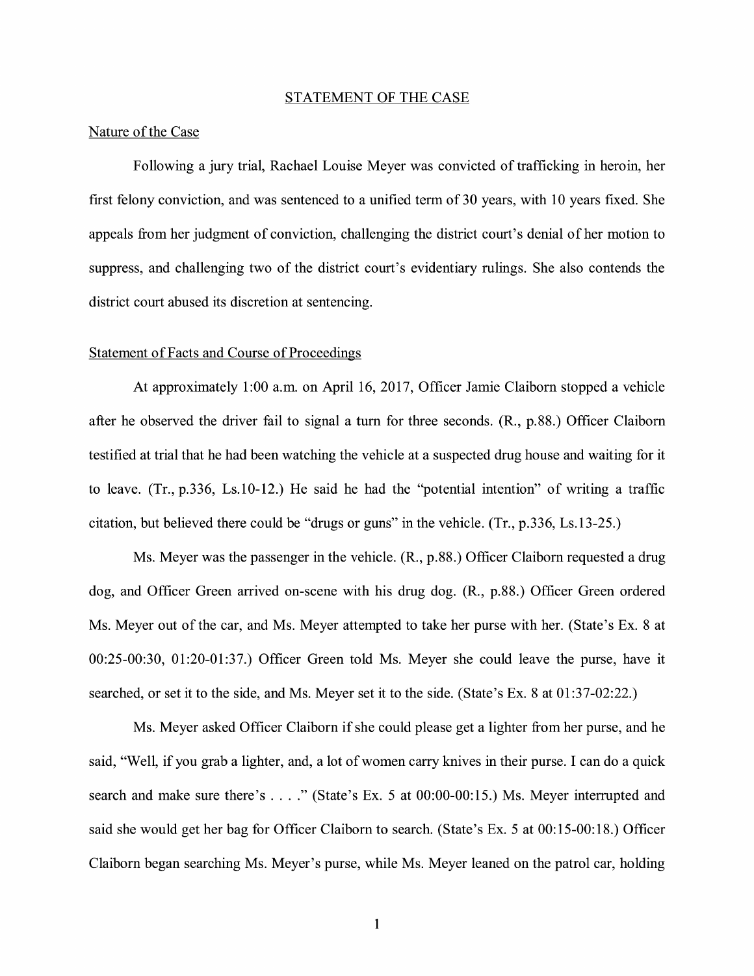#### STATEMENT OF THE CASE

#### Nature of the Case

Following a jury trial, Rachael Louise Meyer was convicted of trafficking in heroin, her first felony conviction, and was sentenced to a unified term of 30 years, with 10 years fixed. She appeals from her judgment of conviction, challenging the district court's denial of her motion to suppress, and challenging two of the district court's evidentiary rulings. She also contends the district court abused its discretion at sentencing.

#### Statement of Facts and Course of Proceedings

At approximately 1:00 a.m. on April 16, 2017, Officer Jamie Claiborn stopped a vehicle after he observed the driver fail to signal a turn for three seconds. (R., p.88.) Officer Claiborn testified at trial that he had been watching the vehicle at a suspected drug house and waiting for it to leave. (Tr., p.336, Ls.10-12.) He said he had the "potential intention" of writing a traffic citation, but believed there could be "drugs or guns" in the vehicle. (Tr., p.336, Ls.13-25.)

Ms. Meyer was the passenger in the vehicle. (R., p.88.) Officer Claiborn requested a drug dog, and Officer Green arrived on-scene with his drug dog. (R., p.88.) Officer Green ordered Ms. Meyer out of the car, and Ms. Meyer attempted to take her purse with her. (State's Ex. 8 at 00:25-00:30, 01:20-01:37.) Officer Green told Ms. Meyer she could leave the purse, have it searched, or set it to the side, and Ms. Meyer set it to the side. (State's Ex. 8 at 01 :37-02:22.)

Ms. Meyer asked Officer Claiborn if she could please get a lighter from her purse, and he said, "Well, if you grab a lighter, and, a lot of women carry knives in their purse. I can do a quick search and make sure there's . . . ." (State's Ex. 5 at 00:00-00:15.) Ms. Meyer interrupted and said she would get her bag for Officer Claiborn to search. (State's Ex. 5 at 00:15-00:18.) Officer Claiborn began searching Ms. Meyer's purse, while Ms. Meyer leaned on the patrol car, holding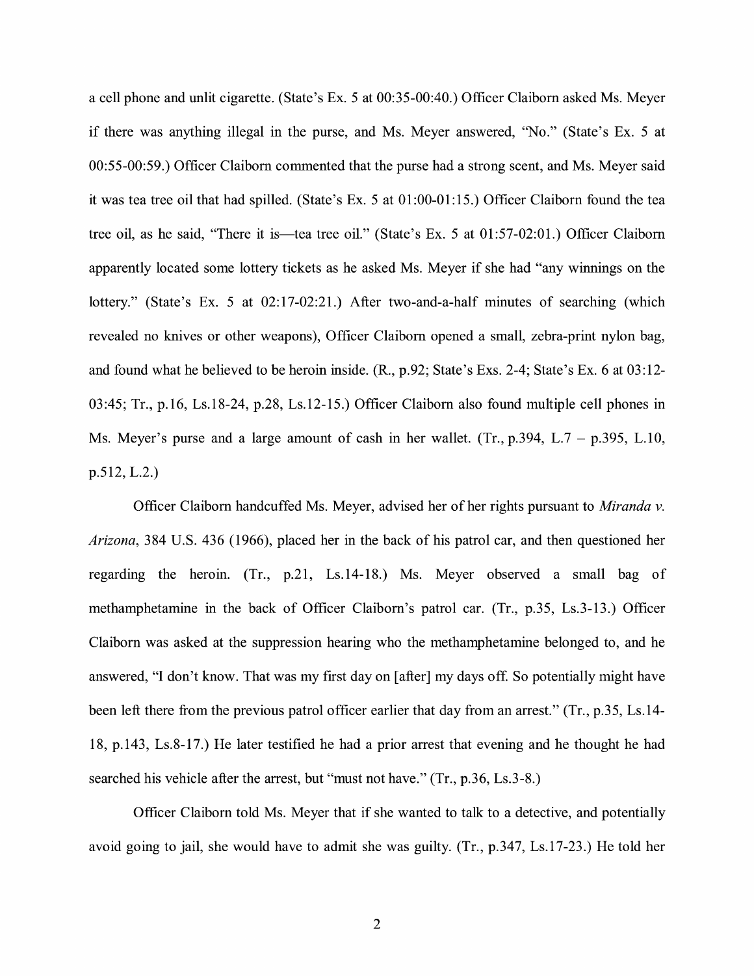a cell phone and unlit cigarette. (State's Ex. 5 at 00:35-00:40.) Officer Claiborn asked Ms. Meyer if there was anything illegal in the purse, and Ms. Meyer answered, "No." (State's Ex. 5 at 00:55-00:59.) Officer Claiborn commented that the purse had a strong scent, and Ms. Meyer said it was tea tree oil that had spilled. (State's Ex. 5 at 01 :00-01: 15.) Officer Claiborn found the tea tree oil, as he said, "There it is—tea tree oil." (State's Ex. 5 at 01:57-02:01.) Officer Claiborn apparently located some lottery tickets as he asked Ms. Meyer if she had "any winnings on the lottery." (State's Ex. 5 at 02:17-02:21.) After two-and-a-half minutes of searching (which revealed no knives or other weapons), Officer Claiborn opened a small, zebra-print nylon bag, and found what he believed to be heroin inside. (R., p.92; State's Exs. 2-4; State's Ex. 6 at 03:12- 03:45; Tr., p.16, Ls.18-24, p.28, Ls.12-15.) Officer Claiborn also found multiple cell phones in Ms. Meyer's purse and a large amount of cash in her wallet. (Tr.,  $p.394$ , L.7 –  $p.395$ , L.10, p.512, L.2.)

Officer Claiborn handcuffed Ms. Meyer, advised her of her rights pursuant to *Miranda v. Arizona,* 384 U.S. 436 (1966), placed her in the back of his patrol car, and then questioned her regarding the heroin. (Tr., p.21, Ls.14-18.) Ms. Meyer observed a small bag of methamphetamine in the back of Officer Claiborn's patrol car. (Tr., p.35, Ls.3-13.) Officer Claiborn was asked at the suppression hearing who the methamphetamine belonged to, and he answered, "I don't know. That was my first day on [after] my days of£ So potentially might have been left there from the previous patrol officer earlier that day from an arrest." (Tr., p.35, Ls.14-18, p.143, Ls.8-17.) He later testified he had a prior arrest that evening and he thought he had searched his vehicle after the arrest, but "must not have." (Tr., p.36, Ls.3-8.)

Officer Claiborn told Ms. Meyer that if she wanted to talk to a detective, and potentially avoid going to jail, she would have to admit she was guilty. (Tr., p.347, Ls.17-23.) He told her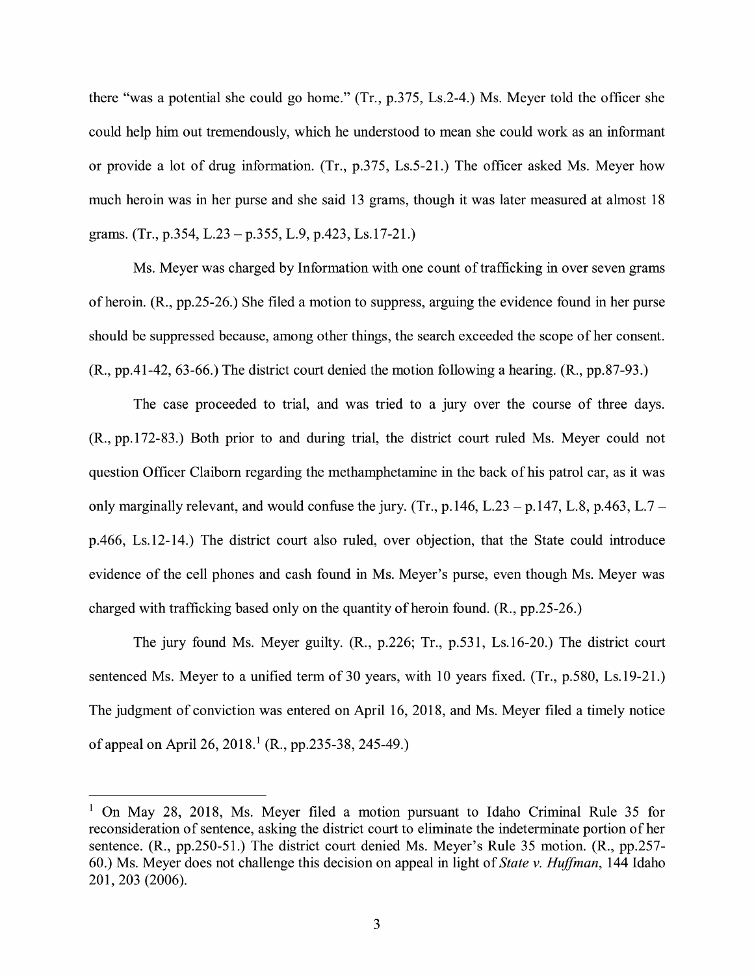there "was a potential she could go home." (Tr., p.375, Ls.2-4.) Ms. Meyer told the officer she could help him out tremendously, which he understood to mean she could work as an informant or provide a lot of drug information. (Tr., p.375, Ls.5-21.) The officer asked Ms. Meyer how much heroin was in her purse and she said 13 grams, though it was later measured at almost 18 grams. (Tr., p.354, L.23 – p.355, L.9, p.423, Ls.17-21.)

Ms. Meyer was charged by Information with one count of trafficking in over seven grams of heroin. (R., pp.25-26.) She filed a motion to suppress, arguing the evidence found in her purse should be suppressed because, among other things, the search exceeded the scope of her consent. (R., pp.41-42, 63-66.) The district court denied the motion following a hearing. (R., pp.87-93.)

The case proceeded to trial, and was tried to a jury over the course of three days. (R., pp.172-83.) Both prior to and during trial, the district court ruled Ms. Meyer could not question Officer Claiborn regarding the methamphetamine in the back of his patrol car, as it was only marginally relevant, and would confuse the jury. (Tr.,  $p.146$ , L.23 -  $p.147$ , L.8,  $p.463$ , L.7 p.466, Ls.12-14.) The district court also ruled, over objection, that the State could introduce evidence of the cell phones and cash found in Ms. Meyer's purse, even though Ms. Meyer was charged with trafficking based only on the quantity of heroin found. (R., pp.25-26.)

The jury found Ms. Meyer guilty. (R., p.226; Tr., p.531, Ls.16-20.) The district court sentenced Ms. Meyer to a unified term of 30 years, with 10 years fixed. (Tr., p.580, Ls.19-21.) The judgment of conviction was entered on April 16, 2018, and Ms. Meyer filed a timely notice of appeal on April 26, 2018.<sup>1</sup> (R., pp.235-38, 245-49.)

 $1$  On May 28, 2018, Ms. Meyer filed a motion pursuant to Idaho Criminal Rule 35 for reconsideration of sentence, asking the district court to eliminate the indeterminate portion of her sentence. (R., pp.250-51.) The district court denied Ms. Meyer's Rule 35 motion. (R., pp.257- 60.) Ms. Meyer does not challenge this decision on appeal in light of *State v. Huffman,* 144 Idaho 201, 203 (2006).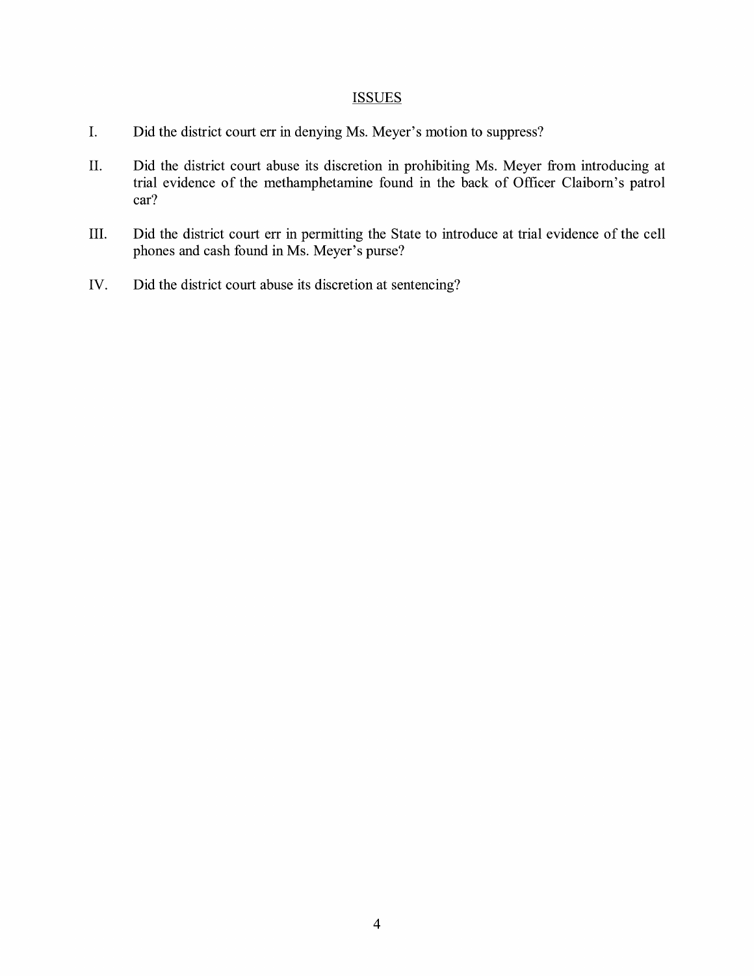## **ISSUES**

- I. Did the district court err in denying Ms. Meyer's motion to suppress?
- II. Did the district court abuse its discretion in prohibiting Ms. Meyer from introducing at trial evidence of the methamphetamine found in the back of Officer Claiborn's patrol car?
- III. Did the district court err in permitting the State to introduce at trial evidence of the cell phones and cash found in Ms. Meyer's purse?
- IV. Did the district court abuse its discretion at sentencing?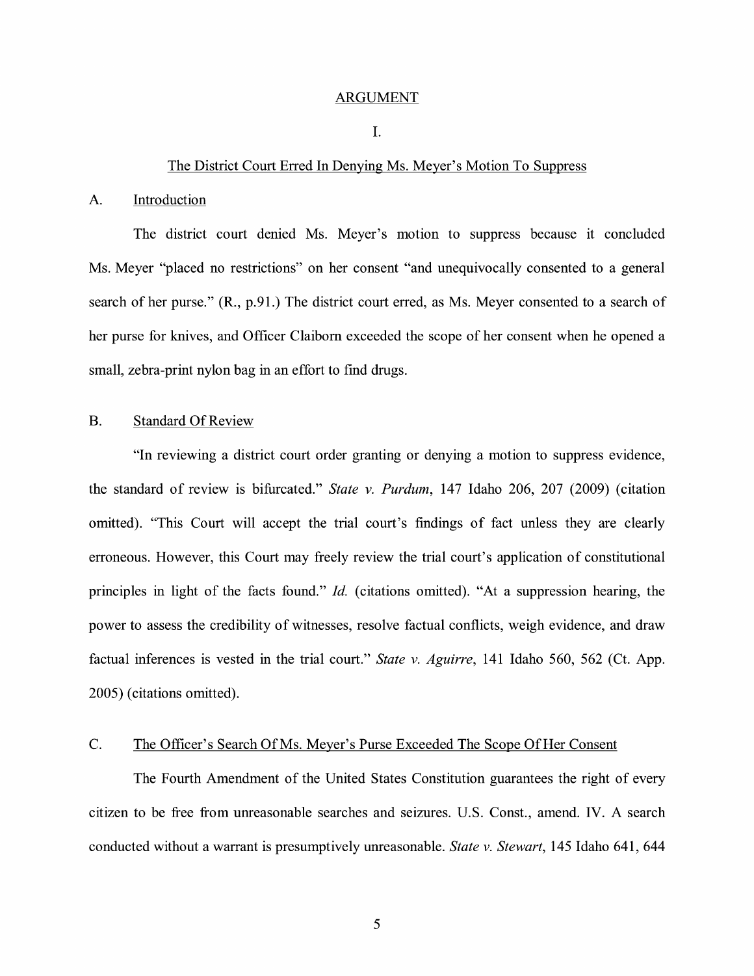#### ARGUMENT

#### I.

#### The District Court Erred In Denying Ms. Meyer's Motion To Suppress

#### A. Introduction

The district court denied Ms. Meyer's motion to suppress because it concluded Ms. Meyer "placed no restrictions" on her consent "and unequivocally consented to a general search of her purse." (R., p.91.) The district court erred, as Ms. Meyer consented to a search of her purse for knives, and Officer Claiborn exceeded the scope of her consent when he opened a small, zebra-print nylon bag in an effort to find drugs.

### B. Standard Of Review

"In reviewing a district court order granting or denying a motion to suppress evidence, the standard of review is bifurcated." *State v. Purdum,* 147 Idaho 206, 207 (2009) (citation omitted). "This Court will accept the trial court's findings of fact unless they are clearly erroneous. However, this Court may freely review the trial court's application of constitutional principles in light of the facts found." *Id.* (citations omitted). "At a suppression hearing, the power to assess the credibility of witnesses, resolve factual conflicts, weigh evidence, and draw factual inferences is vested in the trial court." *State v. Aguirre,* 141 Idaho 560, 562 (Ct. App. 2005) ( citations omitted).

#### C. The Officer's Search Of Ms. Meyer's Purse Exceeded The Scope Of Her Consent

The Fourth Amendment of the United States Constitution guarantees the right of every citizen to be free from unreasonable searches and seizures. U.S. Const., amend. IV. A search conducted without a warrant is presumptively unreasonable. *State v. Stewart,* 145 Idaho 641, 644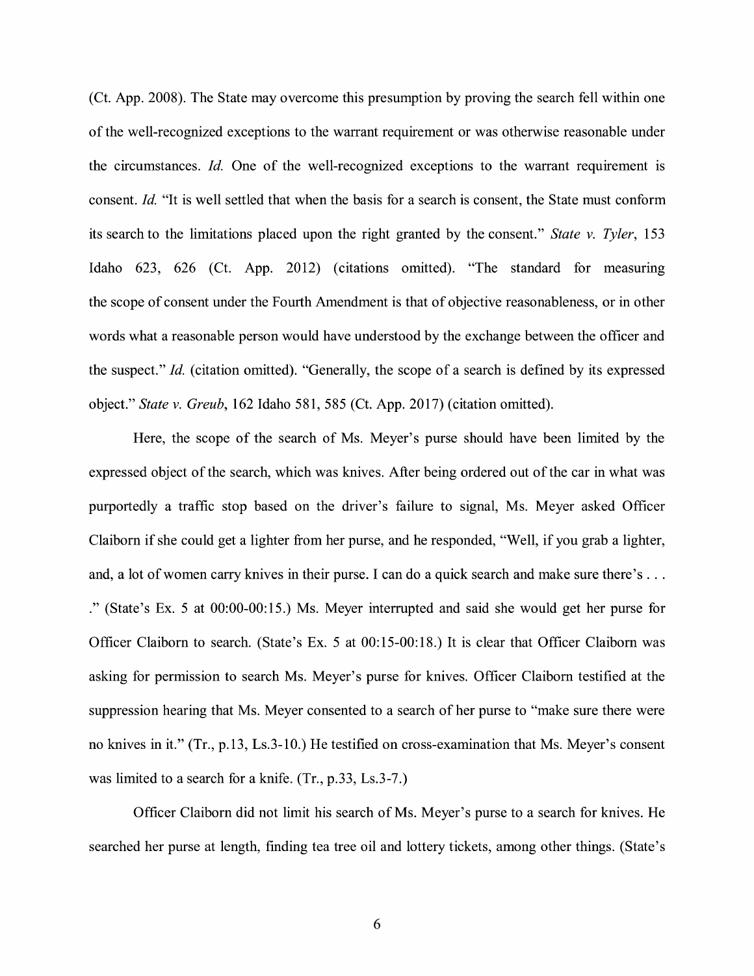(Ct. App. 2008). The State may overcome this presumption by proving the search fell within one of the well-recognized exceptions to the warrant requirement or was otherwise reasonable under the circumstances. *Id.* One of the well-recognized exceptions to the warrant requirement is consent. *Id.* "It is well settled that when the basis for a search is consent, the State must conform its search to the limitations placed upon the right granted by the consent." *State v. Tyler,* 153 Idaho 623, 626 (Ct. App. 2012) (citations omitted). "The standard for measuring the scope of consent under the Fourth Amendment is that of objective reasonableness, or in other words what a reasonable person would have understood by the exchange between the officer and the suspect." *Id.* ( citation omitted). "Generally, the scope of a search is defined by its expressed object." *State v. Greub,* 162 Idaho 581, 585 (Ct. App. 2017) (citation omitted).

Here, the scope of the search of Ms. Meyer's purse should have been limited by the expressed object of the search, which was knives. After being ordered out of the car in what was purportedly a traffic stop based on the driver's failure to signal, Ms. Meyer asked Officer Claiborn if she could get a lighter from her purse, and he responded, "Well, if you grab a lighter, and, a lot of women carry knives in their purse. I can do a quick search and make sure there's ... . " (State's Ex. 5 at 00:00-00: 15.) Ms. Meyer interrupted and said she would get her purse for Officer Claiborn to search. (State's Ex. 5 at 00:15-00:18.) It is clear that Officer Claiborn was asking for permission to search Ms. Meyer's purse for knives. Officer Claiborn testified at the suppression hearing that Ms. Meyer consented to a search of her purse to "make sure there were no knives in it." (Tr., p.13, Ls.3-10.) He testified on cross-examination that Ms. Meyer's consent was limited to a search for a knife. (Tr., p.33, Ls.3-7.)

Officer Claiborn did not limit his search of Ms. Meyer's purse to a search for knives. He searched her purse at length, finding tea tree oil and lottery tickets, among other things. (State's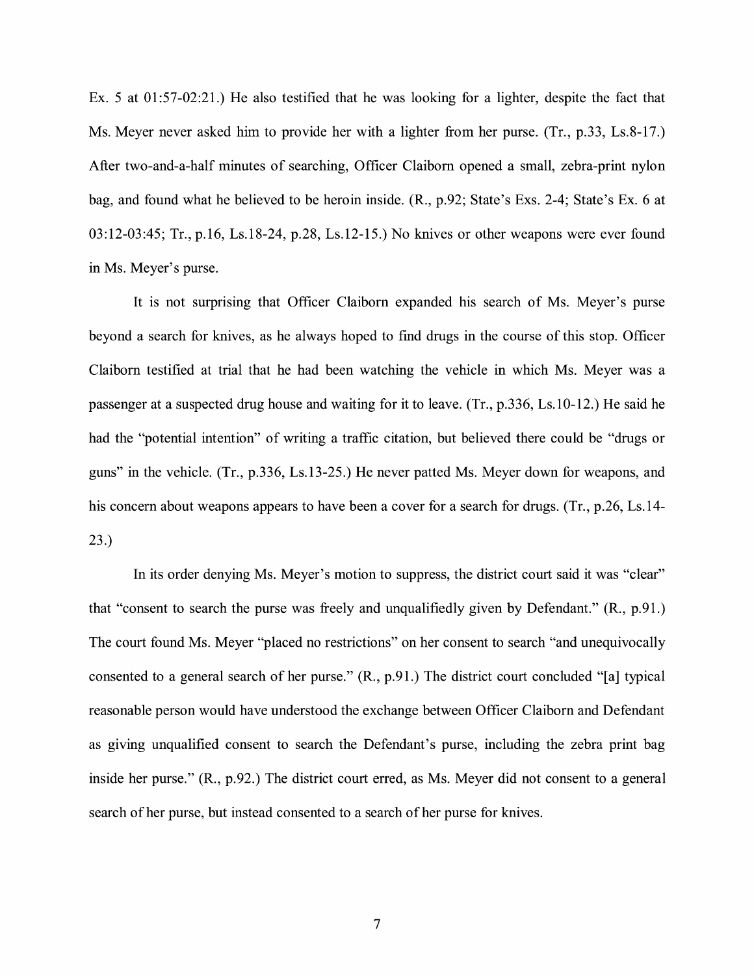Ex. 5 at 01:57-02:21.) He also testified that he was looking for a lighter, despite the fact that Ms. Meyer never asked him to provide her with a lighter from her purse. (Tr., p.33, Ls.8-17.) After two-and-a-half minutes of searching, Officer Claiborn opened a small, zebra-print nylon bag, and found what he believed to be heroin inside. (R., p.92; State's Exs. 2-4; State's Ex. 6 at 03:12-03:45; Tr., p.16, Ls.18-24, p.28, Ls.12-15.) No knives or other weapons were ever found in Ms. Meyer's purse.

It is not surprising that Officer Claiborn expanded his search of Ms. Meyer's purse beyond a search for knives, as he always hoped to find drugs in the course of this stop. Officer Claiborn testified at trial that he had been watching the vehicle in which Ms. Meyer was a passenger at a suspected drug house and waiting for it to leave. (Tr., p.336, Ls.10-12.) He said he had the "potential intention" of writing a traffic citation, but believed there could be "drugs or guns" in the vehicle. (Tr., p.336, Ls.13-25.) He never patted Ms. Meyer down for weapons, and his concern about weapons appears to have been a cover for a search for drugs. (Tr., p.26, Ls.14-23.)

In its order denying Ms. Meyer's motion to suppress, the district court said it was "clear" that "consent to search the purse was freely and unqualifiedly given by Defendant." (R., p.91.) The court found Ms. Meyer "placed no restrictions" on her consent to search "and unequivocally consented to a general search of her purse." (R., p.91.) The district court concluded "[a] typical reasonable person would have understood the exchange between Officer Claiborn and Defendant as giving unqualified consent to search the Defendant's purse, including the zebra print bag inside her purse." (R., p.92.) The district court erred, as Ms. Meyer did not consent to a general search of her purse, but instead consented to a search of her purse for knives.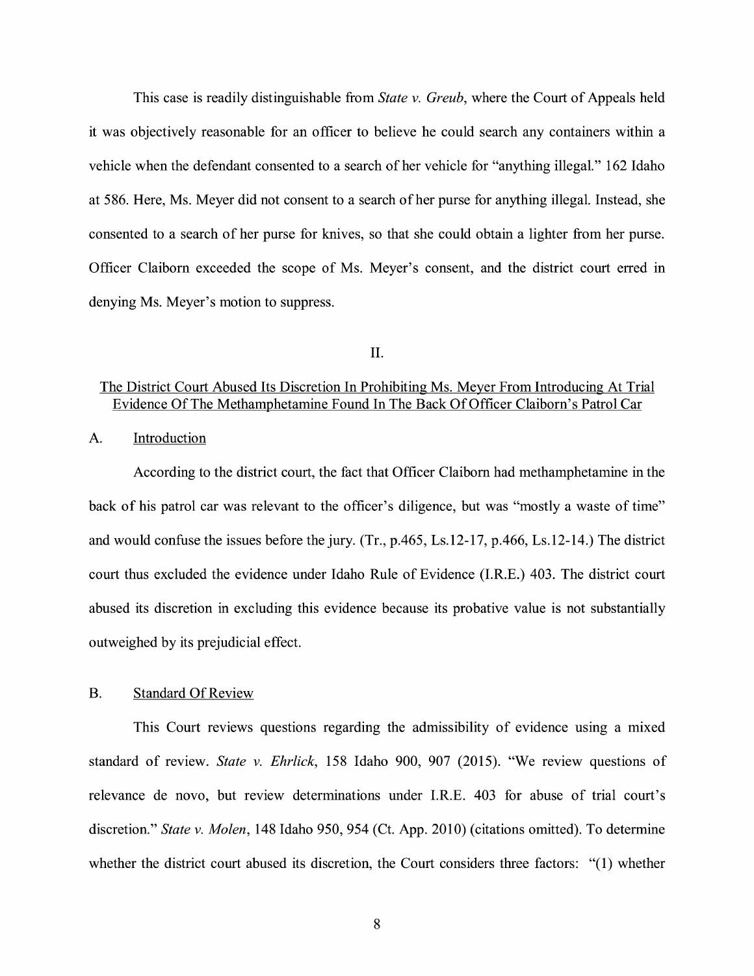This case is readily distinguishable from *State v. Greub,* where the Court of Appeals held it was objectively reasonable for an officer to believe he could search any containers within a vehicle when the defendant consented to a search of her vehicle for "anything illegal." 162 Idaho at 586. Here, Ms. Meyer did not consent to a search of her purse for anything illegal. Instead, she consented to a search of her purse for knives, so that she could obtain a lighter from her purse. Officer Claiborn exceeded the scope of Ms. Meyer's consent, and the district court erred in denying Ms. Meyer's motion to suppress.

#### II.

## The District Court Abused Its Discretion In Prohibiting Ms. Meyer From Introducing At Trial Evidence Of The Methamphetamine Found In The Back Of Officer Claiborn's Patrol Car

#### A. Introduction

According to the district court, the fact that Officer Claiborn had methamphetamine in the back of his patrol car was relevant to the officer's diligence, but was "mostly a waste of time" and would confuse the issues before the jury. (Tr., p.465, Ls.12-17, p.466, Ls.12-14.) The district court thus excluded the evidence under Idaho Rule of Evidence (I.R.E.) 403. The district court abused its discretion in excluding this evidence because its probative value is not substantially outweighed by its prejudicial effect.

#### B. Standard Of Review

This Court reviews questions regarding the admissibility of evidence using a mixed standard of review. *State v. Ehrlick,* 158 Idaho 900, 907 (2015). "We review questions of relevance de novo, but review determinations under I.R.E. 403 for abuse of trial court's discretion." *State v. Molen,* 148 Idaho 950, 954 (Ct. App. 2010) (citations omitted). To determine whether the district court abused its discretion, the Court considers three factors: "(1) whether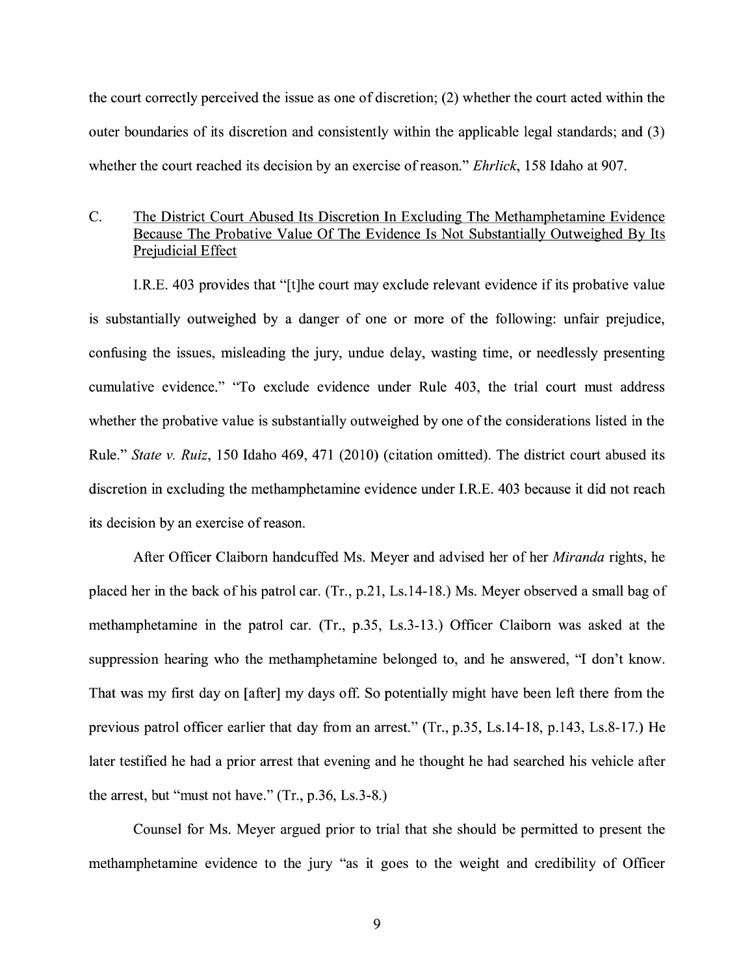the court correctly perceived the issue as one of discretion; (2) whether the court acted within the outer boundaries of its discretion and consistently within the applicable legal standards; and (3) whether the court reached its decision by an exercise ofreason." *Ehrlick,* 158 Idaho at 907.

## C. The District Court Abused Its Discretion In Excluding The Methamphetamine Evidence Because The Probative Value Of The Evidence Is Not Substantially Outweighed By Its Prejudicial Effect

I.R.E. 403 provides that "[t]he court may exclude relevant evidence if its probative value 1s substantially outweighed by a danger of one or more of the following: unfair prejudice, confusing the issues, misleading the jury, undue delay, wasting time, or needlessly presenting cumulative evidence." "To exclude evidence under Rule 403, the trial court must address whether the probative value is substantially outweighed by one of the considerations listed in the Rule." *State v. Ruiz,* 150 Idaho 469, 471 (2010) (citation omitted). The district court abused its discretion in excluding the methamphetamine evidence under I.R.E. 403 because it did not reach its decision by an exercise of reason.

After Officer Claiborn handcuffed Ms. Meyer and advised her of her *Miranda* rights, he placed her in the back of his patrol car. (Tr., p.21, Ls.14-18.) Ms. Meyer observed a small bag of methamphetamine in the patrol car. (Tr., p.35, Ls.3-13.) Officer Claiborn was asked at the suppression hearing who the methamphetamine belonged to, and he answered, "I don't know. That was my first day on [after] my days off. So potentially might have been left there from the previous patrol officer earlier that day from an arrest." (Tr., p.35, Ls.14-18, p.143, Ls.8-17.) He later testified he had a prior arrest that evening and he thought he had searched his vehicle after the arrest, but "must not have." (Tr., p.36, Ls.3-8.)

Counsel for Ms. Meyer argued prior to trial that she should be permitted to present the methamphetamine evidence to the jury "as it goes to the weight and credibility of Officer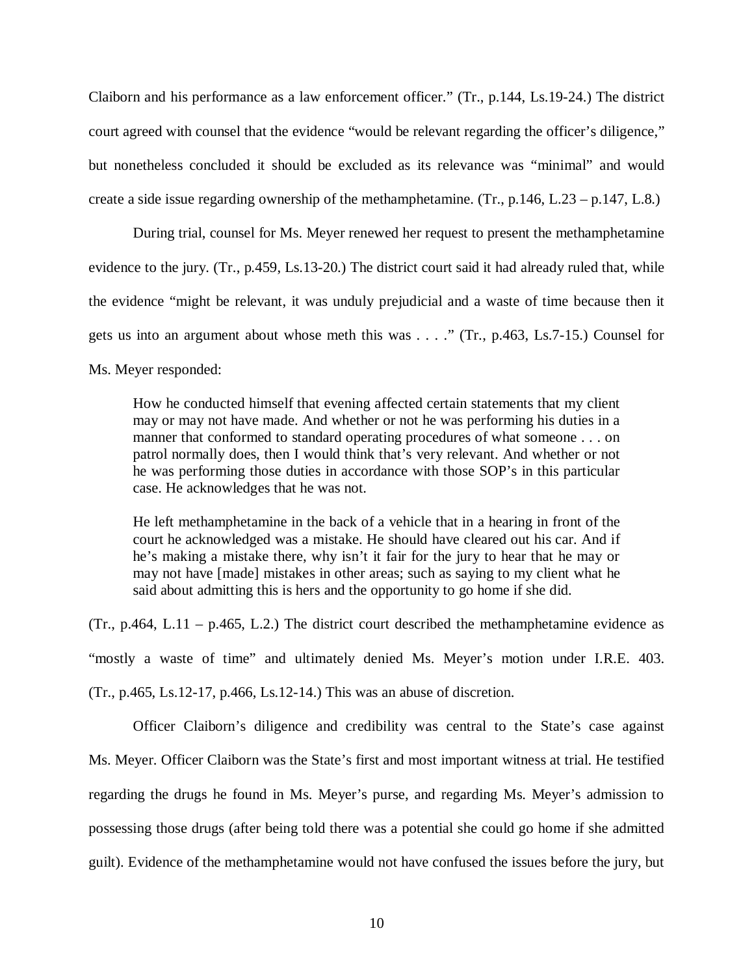Claiborn and his performance as a law enforcement officer." (Tr., p.144, Ls.19-24.) The district court agreed with counsel that the evidence "would be relevant regarding the officer's diligence," but nonetheless concluded it should be excluded as its relevance was "minimal" and would create a side issue regarding ownership of the methamphetamine. (Tr., p.146, L.23 – p.147, L.8.)

During trial, counsel for Ms. Meyer renewed her request to present the methamphetamine evidence to the jury. (Tr., p.459, Ls.13-20.) The district court said it had already ruled that, while the evidence "might be relevant, it was unduly prejudicial and a waste of time because then it gets us into an argument about whose meth this was . . . ." (Tr., p.463, Ls.7-15.) Counsel for Ms. Meyer responded:

How he conducted himself that evening affected certain statements that my client may or may not have made. And whether or not he was performing his duties in a manner that conformed to standard operating procedures of what someone . . . on patrol normally does, then I would think that's very relevant. And whether or not he was performing those duties in accordance with those SOP's in this particular case. He acknowledges that he was not.

He left methamphetamine in the back of a vehicle that in a hearing in front of the court he acknowledged was a mistake. He should have cleared out his car. And if he's making a mistake there, why isn't it fair for the jury to hear that he may or may not have [made] mistakes in other areas; such as saying to my client what he said about admitting this is hers and the opportunity to go home if she did.

(Tr., p.464, L.11 – p.465, L.2.) The district court described the methamphetamine evidence as "mostly a waste of time" and ultimately denied Ms. Meyer's motion under I.R.E. 403. (Tr., p.465, Ls.12-17, p.466, Ls.12-14.) This was an abuse of discretion.

Officer Claiborn's diligence and credibility was central to the State's case against Ms. Meyer. Officer Claiborn was the State's first and most important witness at trial. He testified regarding the drugs he found in Ms. Meyer's purse, and regarding Ms. Meyer's admission to possessing those drugs (after being told there was a potential she could go home if she admitted guilt). Evidence of the methamphetamine would not have confused the issues before the jury, but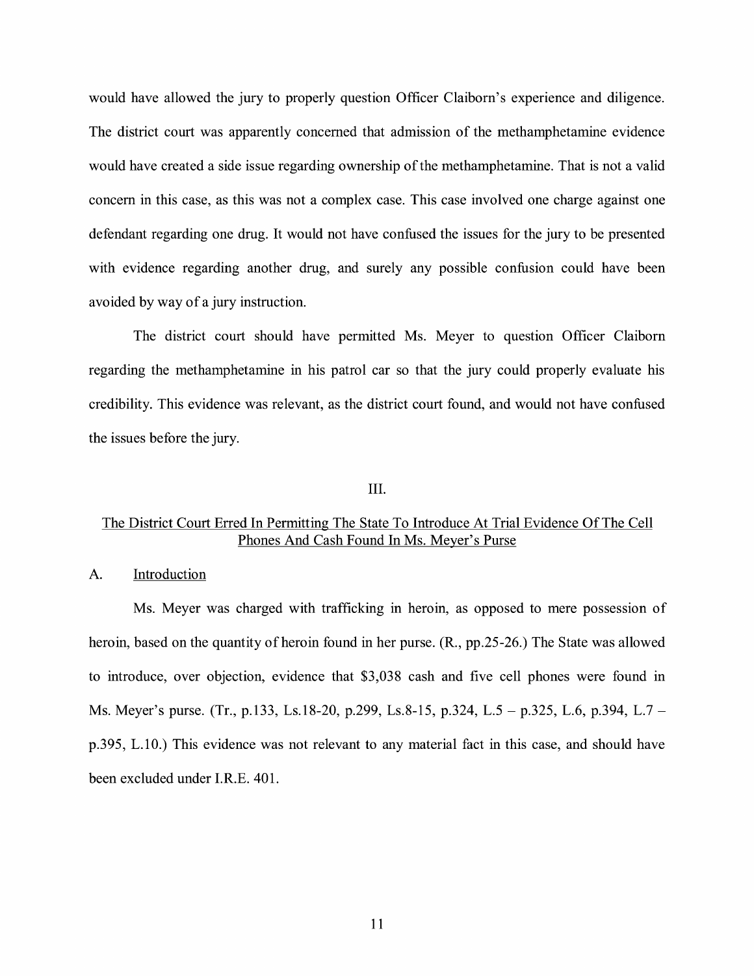would have allowed the jury to properly question Officer Claiborn's experience and diligence. The district court was apparently concerned that admission of the methamphetamine evidence would have created a side issue regarding ownership of the methamphetamine. That is not a valid concern in this case, as this was not a complex case. This case involved one charge against one defendant regarding one drug. It would not have confused the issues for the jury to be presented with evidence regarding another drug, and surely any possible confusion could have been avoided by way of a jury instruction.

The district court should have permitted Ms. Meyer to question Officer Claiborn regarding the methamphetamine in his patrol car so that the jury could properly evaluate his credibility. This evidence was relevant, as the district court found, and would not have confused the issues before the jury.

#### III.

## The District Court Erred In Permitting The State To Introduce At Trial Evidence Of The Cell Phones And Cash Found In Ms. Meyer's Purse

#### A. Introduction

Ms. Meyer was charged with trafficking in heroin, as opposed to mere possession of heroin, based on the quantity of heroin found in her purse. (R., pp.25-26.) The State was allowed to introduce, over objection, evidence that \$3,038 cash and five cell phones were found in Ms. Meyer's purse. (Tr., p.133, Ls.18-20, p.299, Ls.8-15, p.324, L.5 – p.325, L.6, p.394, L.7 – p.395, L.10.) This evidence was not relevant to any material fact in this case, and should have been excluded under I.R.E. 401.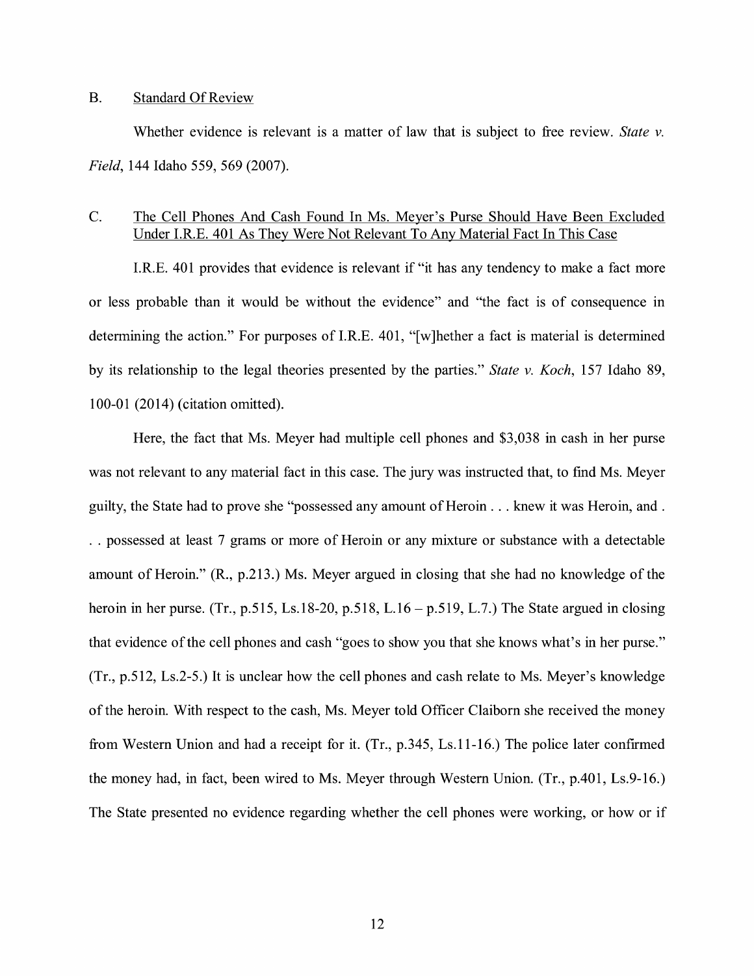#### B. Standard Of Review

Whether evidence is relevant is a matter of law that is subject to free review. *State v. Field,* 144 Idaho 559, 569 (2007).

## C. The Cell Phones And Cash Found In Ms. Meyer's Purse Should Have Been Excluded Under I.RE. 401 As They Were Not Relevant To Any Material Fact In This Case

I.R.E. 401 provides that evidence is relevant if "it has any tendency to make a fact more or less probable than it would be without the evidence" and "the fact is of consequence in determining the action." For purposes of I.R.E. 401, "[w]hether a fact is material is determined by its relationship to the legal theories presented by the parties." *State v. Koch,* 157 Idaho 89, 100-01 (2014) (citation omitted).

Here, the fact that Ms. Meyer had multiple cell phones and \$3,038 in cash in her purse was not relevant to any material fact in this case. The jury was instructed that, to find Ms. Meyer guilty, the State had to prove she "possessed any amount of Heroin ... knew it was Heroin, and . . . possessed at least 7 grams or more of Heroin or any mixture or substance with a detectable amount of Heroin." (R., p.213.) Ms. Meyer argued in closing that she had no knowledge of the heroin in her purse. (Tr., p.515, Ls.18-20, p.518, L.16 – p.519, L.7.) The State argued in closing that evidence of the cell phones and cash "goes to show you that she knows what's in her purse." (Tr., p.512, Ls.2-5.) It is unclear how the cell phones and cash relate to Ms. Meyer's knowledge of the heroin. With respect to the cash, Ms. Meyer told Officer Claiborn she received the money from Western Union and had a receipt for it. (Tr., p.345, Ls.11-16.) The police later confirmed the money had, in fact, been wired to Ms. Meyer through Western Union. (Tr., p.401, Ls.9-16.) The State presented no evidence regarding whether the cell phones were working, or how or if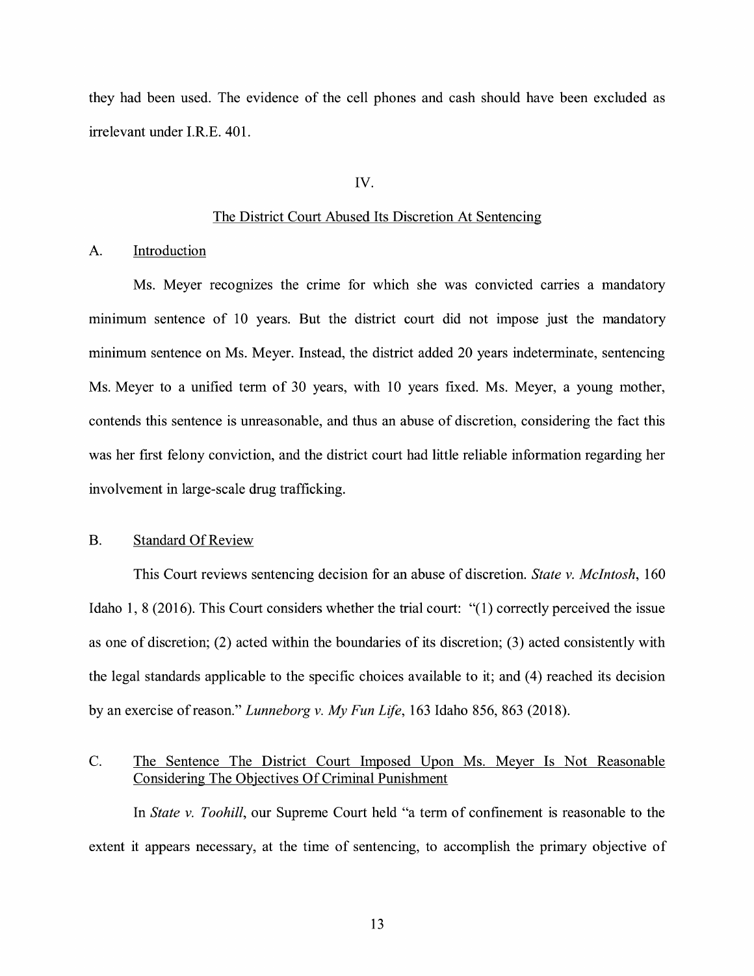they had been used. The evidence of the cell phones and cash should have been excluded as irrelevant under I.R.E. 401.

#### IV.

### The District Court Abused Its Discretion At Sentencing

#### A. Introduction

Ms. Meyer recognizes the crime for which she was convicted carries a mandatory minimum sentence of 10 years. But the district court did not impose just the mandatory minimum sentence on Ms. Meyer. Instead, the district added 20 years indeterminate, sentencing Ms. Meyer to a unified term of 30 years, with 10 years fixed. Ms. Meyer, a young mother, contends this sentence is unreasonable, and thus an abuse of discretion, considering the fact this was her first felony conviction, and the district court had little reliable information regarding her involvement in large-scale drug trafficking.

### B. Standard Of Review

This Court reviews sentencing decision for an abuse of discretion. *State v. McIntosh,* 160 Idaho 1, 8 (2016). This Court considers whether the trial court: "(1) correctly perceived the issue as one of discretion; (2) acted within the boundaries of its discretion; (3) acted consistently with the legal standards applicable to the specific choices available to it; and (4) reached its decision by an exercise ofreason." *Lunneborg v. My Fun Life,* 163 Idaho 856, 863 (2018).

## C. The Sentence The District Court Imposed Upon Ms. Meyer Is Not Reasonable Considering The Objectives Of Criminal Punishment

In *State v. Toohill,* our Supreme Court held "a term of confmement is reasonable to the extent it appears necessary, at the time of sentencing, to accomplish the primary objective of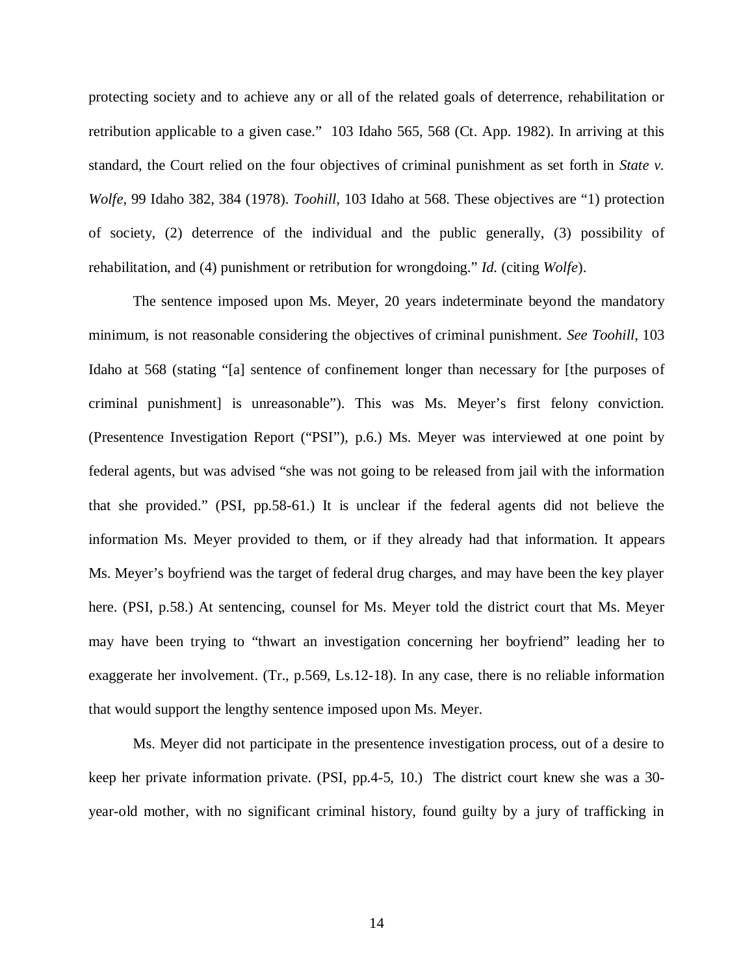protecting society and to achieve any or all of the related goals of deterrence, rehabilitation or retribution applicable to a given case." 103 Idaho 565, 568 (Ct. App. 1982). In arriving at this standard, the Court relied on the four objectives of criminal punishment as set forth in *State v. Wolfe*, 99 Idaho 382, 384 (1978). *Toohill*, 103 Idaho at 568*.* These objectives are "1) protection of society, (2) deterrence of the individual and the public generally, (3) possibility of rehabilitation, and (4) punishment or retribution for wrongdoing." *Id.* (citing *Wolfe*).

The sentence imposed upon Ms. Meyer, 20 years indeterminate beyond the mandatory minimum, is not reasonable considering the objectives of criminal punishment. *See Toohill*, 103 Idaho at 568 (stating "[a] sentence of confinement longer than necessary for [the purposes of criminal punishment] is unreasonable"). This was Ms. Meyer's first felony conviction. (Presentence Investigation Report ("PSI"), p.6.) Ms. Meyer was interviewed at one point by federal agents, but was advised "she was not going to be released from jail with the information that she provided." (PSI, pp.58-61.) It is unclear if the federal agents did not believe the information Ms. Meyer provided to them, or if they already had that information. It appears Ms. Meyer's boyfriend was the target of federal drug charges, and may have been the key player here. (PSI, p.58.) At sentencing, counsel for Ms. Meyer told the district court that Ms. Meyer may have been trying to "thwart an investigation concerning her boyfriend" leading her to exaggerate her involvement. (Tr., p.569, Ls.12-18). In any case, there is no reliable information that would support the lengthy sentence imposed upon Ms. Meyer.

Ms. Meyer did not participate in the presentence investigation process, out of a desire to keep her private information private. (PSI, pp.4-5, 10.) The district court knew she was a 30 year-old mother, with no significant criminal history, found guilty by a jury of trafficking in